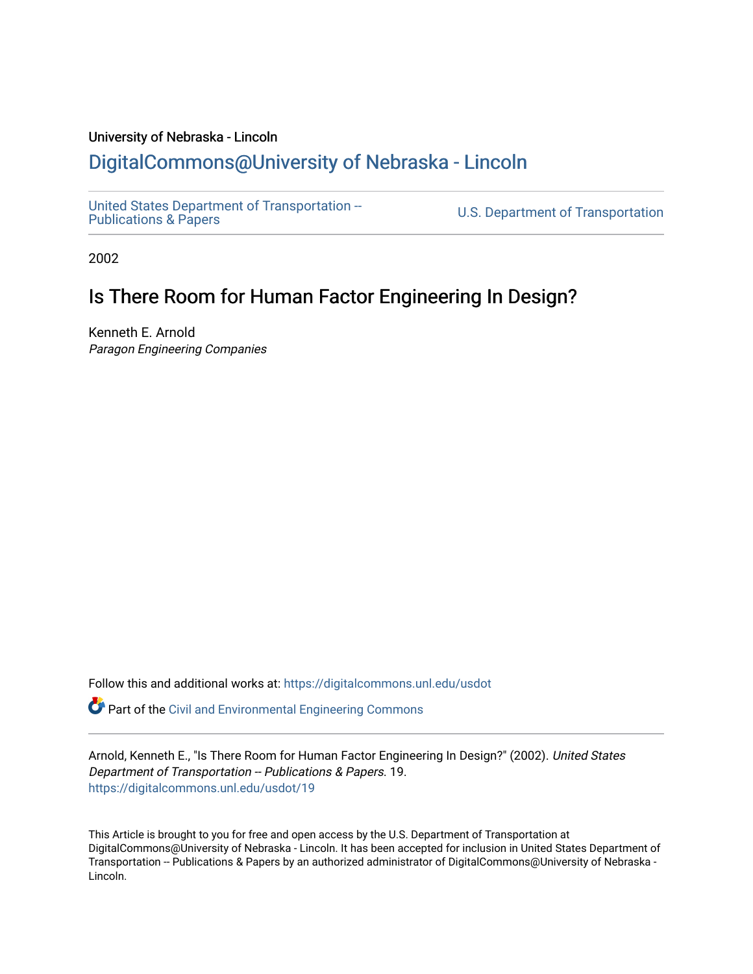### University of Nebraska - Lincoln [DigitalCommons@University of Nebraska - Lincoln](https://digitalcommons.unl.edu/)

[United States Department of Transportation --](https://digitalcommons.unl.edu/usdot)<br>Publications & Papers

U.S. Department of Transportation

2002

### Is There Room for Human Factor Engineering In Design?

Kenneth E. Arnold Paragon Engineering Companies

Follow this and additional works at: [https://digitalcommons.unl.edu/usdot](https://digitalcommons.unl.edu/usdot?utm_source=digitalcommons.unl.edu%2Fusdot%2F19&utm_medium=PDF&utm_campaign=PDFCoverPages) 

**P** Part of the [Civil and Environmental Engineering Commons](http://network.bepress.com/hgg/discipline/251?utm_source=digitalcommons.unl.edu%2Fusdot%2F19&utm_medium=PDF&utm_campaign=PDFCoverPages)

Arnold, Kenneth E., "Is There Room for Human Factor Engineering In Design?" (2002). United States Department of Transportation -- Publications & Papers. 19. [https://digitalcommons.unl.edu/usdot/19](https://digitalcommons.unl.edu/usdot/19?utm_source=digitalcommons.unl.edu%2Fusdot%2F19&utm_medium=PDF&utm_campaign=PDFCoverPages)

This Article is brought to you for free and open access by the U.S. Department of Transportation at DigitalCommons@University of Nebraska - Lincoln. It has been accepted for inclusion in United States Department of Transportation -- Publications & Papers by an authorized administrator of DigitalCommons@University of Nebraska -Lincoln.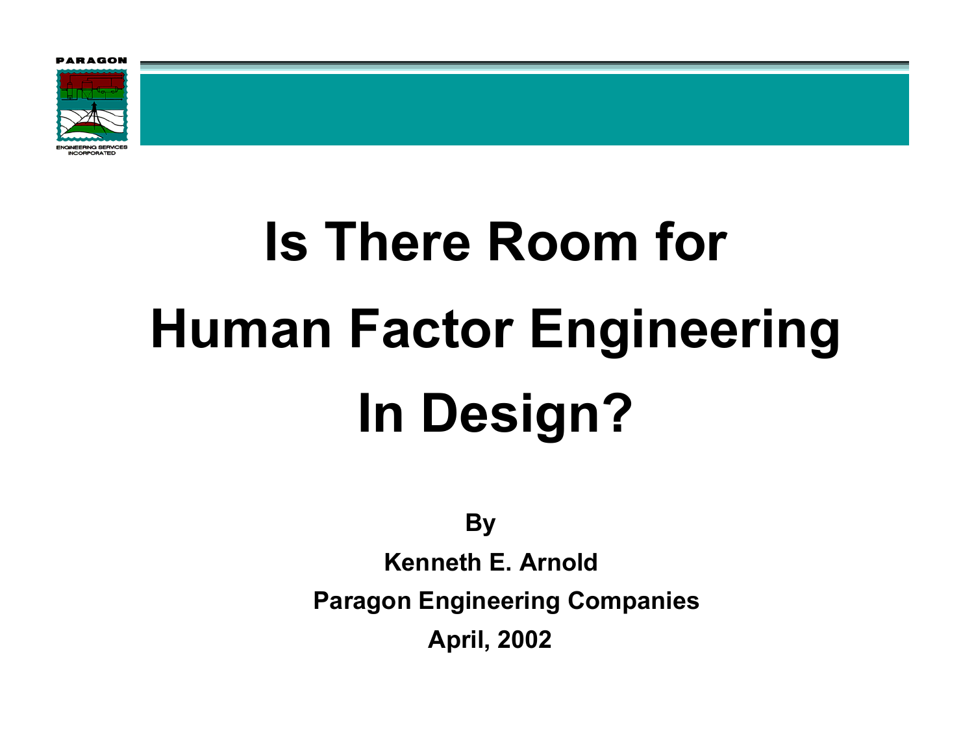

**Is There Room for Human Factor Engineering In Design?**

**By**

**Kenneth E. ArnoldParagon Engineering Companies April, 2002**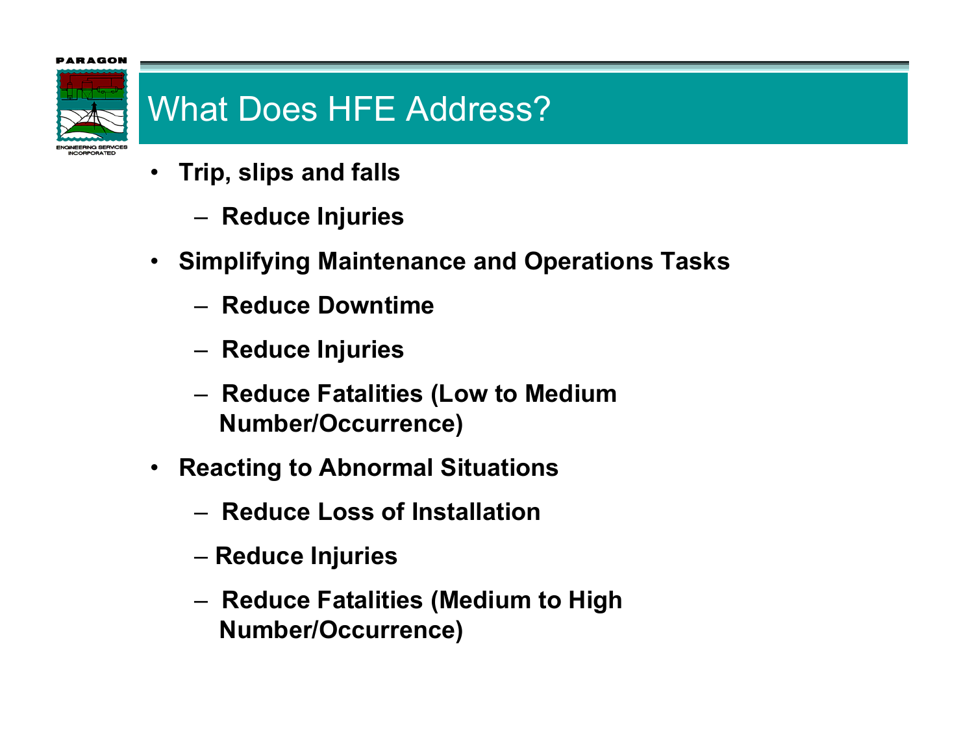

# What Does HFE Address?

- • **Trip, slips and fall s**
	- –**Reduce Injuries**
- **Simplifying Maintenance and Operations Tasks**
	- **Reduce Downtime**
	- –**Reduce Injuries**
	- – **Reduce Fatalities (Low to Medium Number/Occurrence)**
- $\bullet$  **Reacting to Abnormal Situations**
	- **Reduce Loss of Installation**
	- –**Reduce Injuries**
	- – **Reduce Fatalities (Medium to High Number/Occurrence)**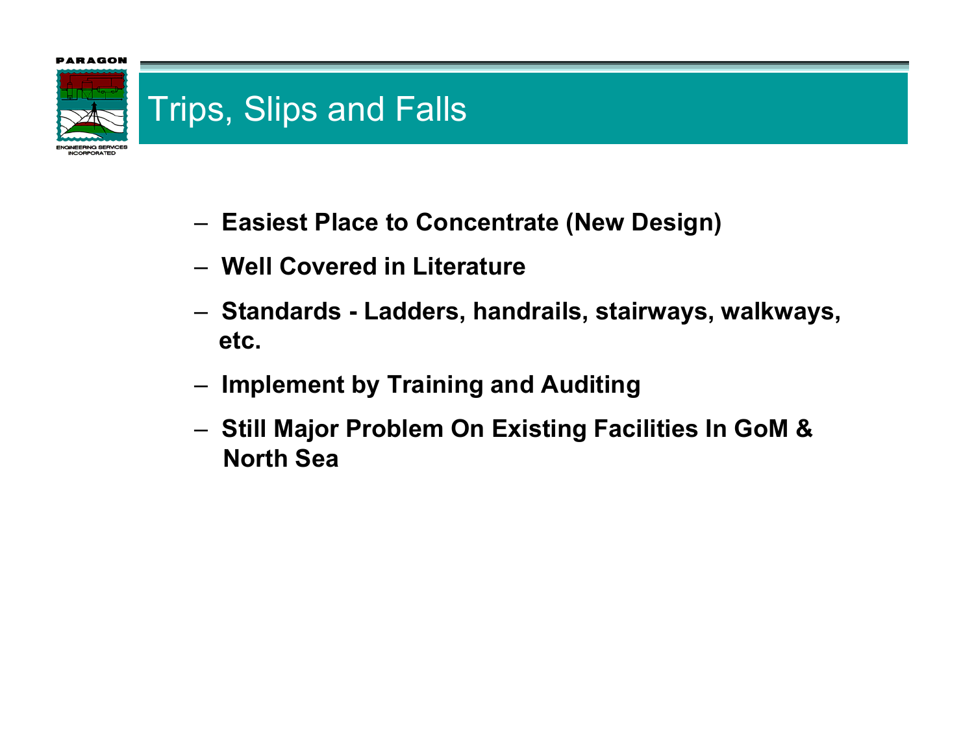

**ICORPORATED** 

### Trips, Slips and Falls

- –**Easiest Place to Concentrate (New Design)**
- **Well Covered in Literature**
- **Standards - Ladders, handrails, stairways, walkways, etc.**
- –**Implement by Training and Auditing**
- – **Still Major Problem On Existing Facilities In GoM & North Sea**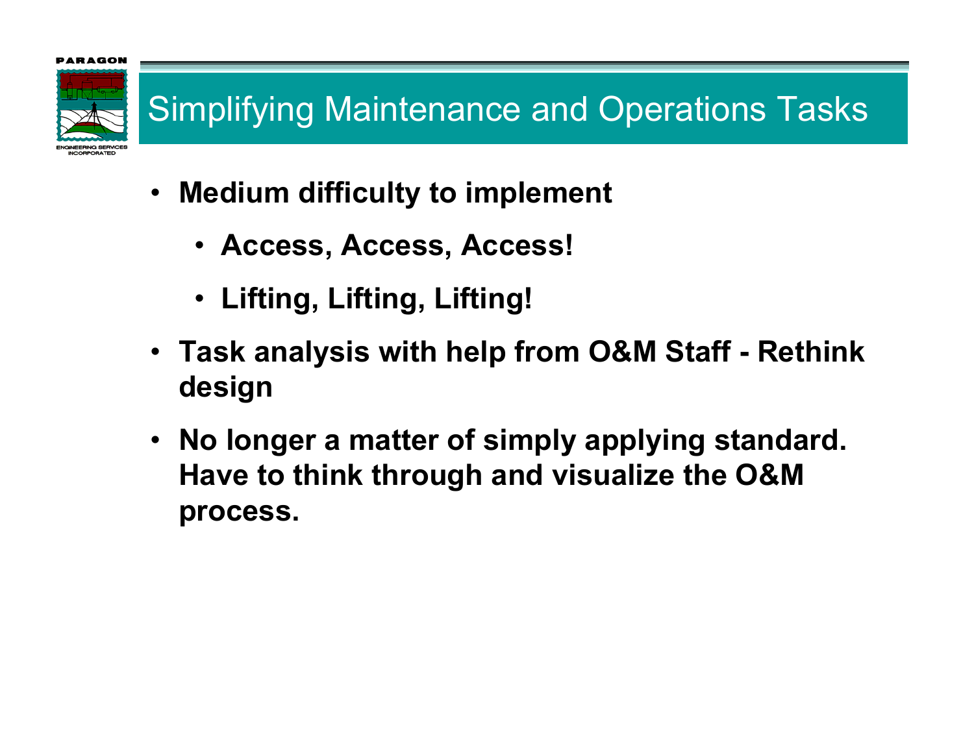# Simplifying Maintenance and Operations Tasks

- **Medium difficulty to implement**
	- **Access, Access, Access!**
	- **Lifting, Lifting, Lifting!**
- **Task analysis with help from O&M Staff - Rethink design**
- **No longer a matter of simply applying standard. Have to think through and visualize the O&M process.**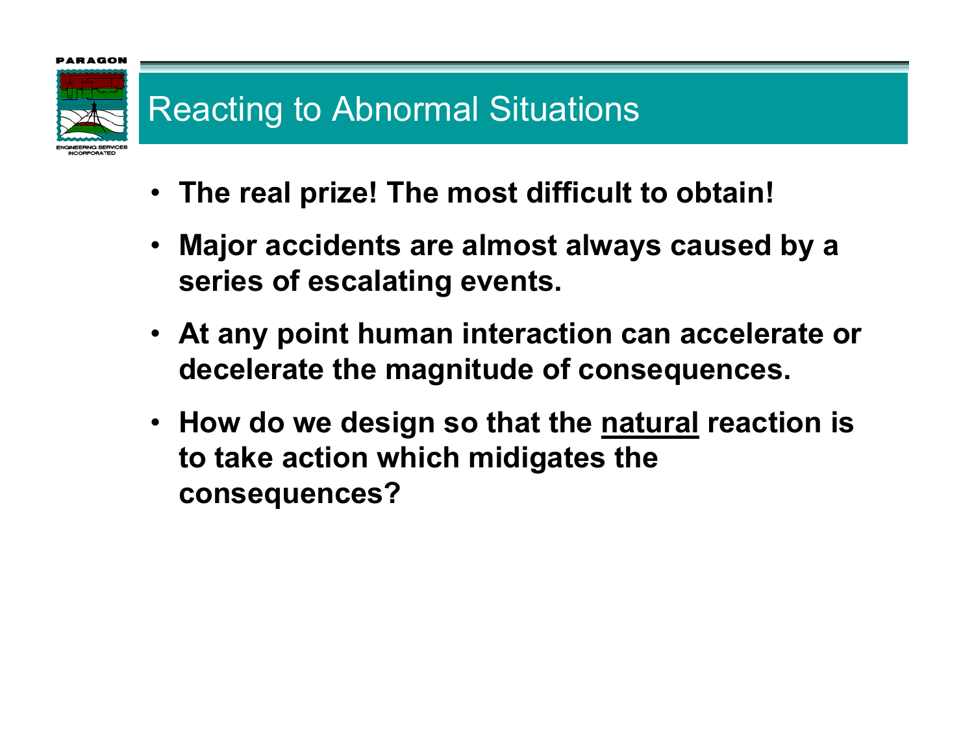

# Reacting to Abnormal Situations

- **The real prize! The most difficult to obtain!**
- **Major accidents are almost always caused by a series of escalating events.**
- **At any point human interaction can accelerate or decelerate the magnitude of consequences.**
- **How do we design so that the natural reaction is to take action which midigates the consequences?**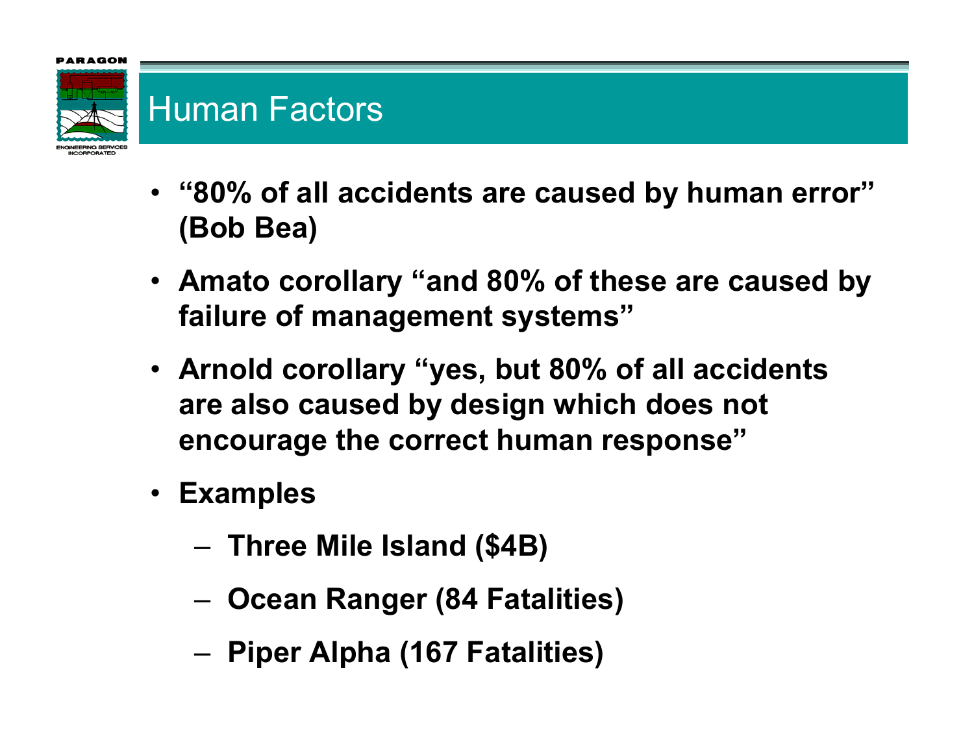

## Human Factors

- **"80% of all accidents are caused by human error" (Bob Bea)**
- **Amato corollary "and 80% of these are caused by failure of management systems"**
- **Arnold corollary "yes, but 80% of all accidents are also caused by design which does not encourage the correct human response"**
- **Examples**
	- –**Three Mile Island (\$4B)**
	- –**Ocean Ranger (84 Fatalities)**
	- –**Piper Alpha (167 Fatalities)**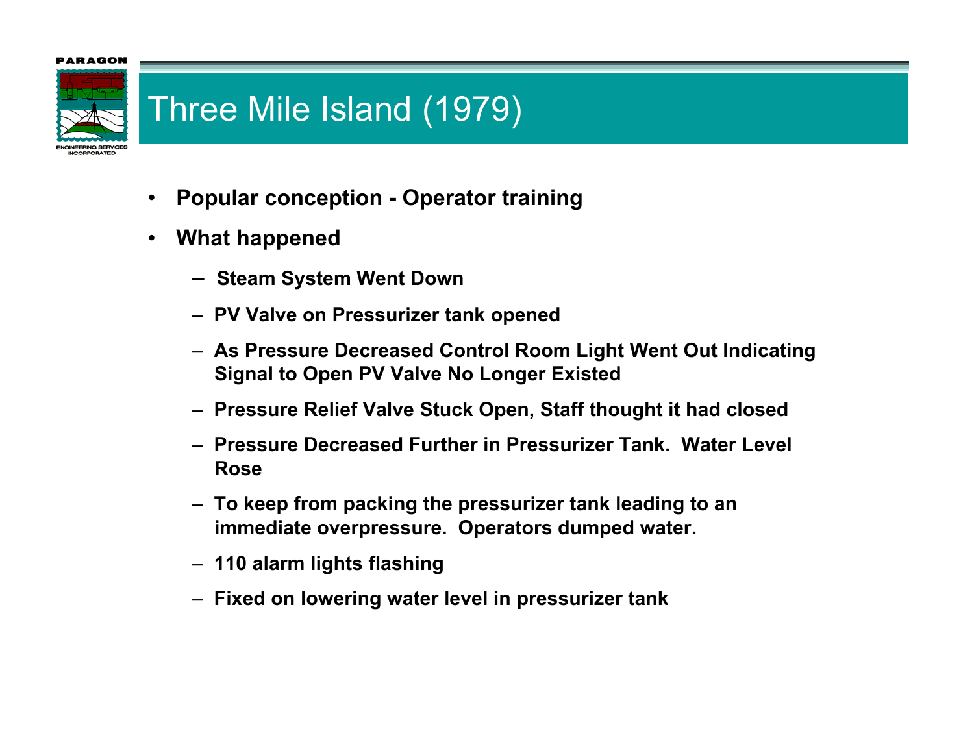### RAGOI



## Three Mile Island (1979)

- •**Popular conception - Operator training**
- • **What happened**
	- **Steam System Went Down**
	- **PV Valve on Pressurizer tank opened**
	- **As Pressure Decreased Control Room Light Went O ut Indicating Signal to Open PV Valve No Longer Existed**
	- **Pressure Relief Valve Stuck Open, Staff thought it had closed**
	- **Pressure Decreased Further in Pressurizer Tank. Water Level Rose**
	- **To keep from packing the pressurizer tank leading t o an immediate overpressure. Operators d umped water.**
	- **110 alarm lights flashing**
	- **Fixed on lowering water level in pressurizer tank**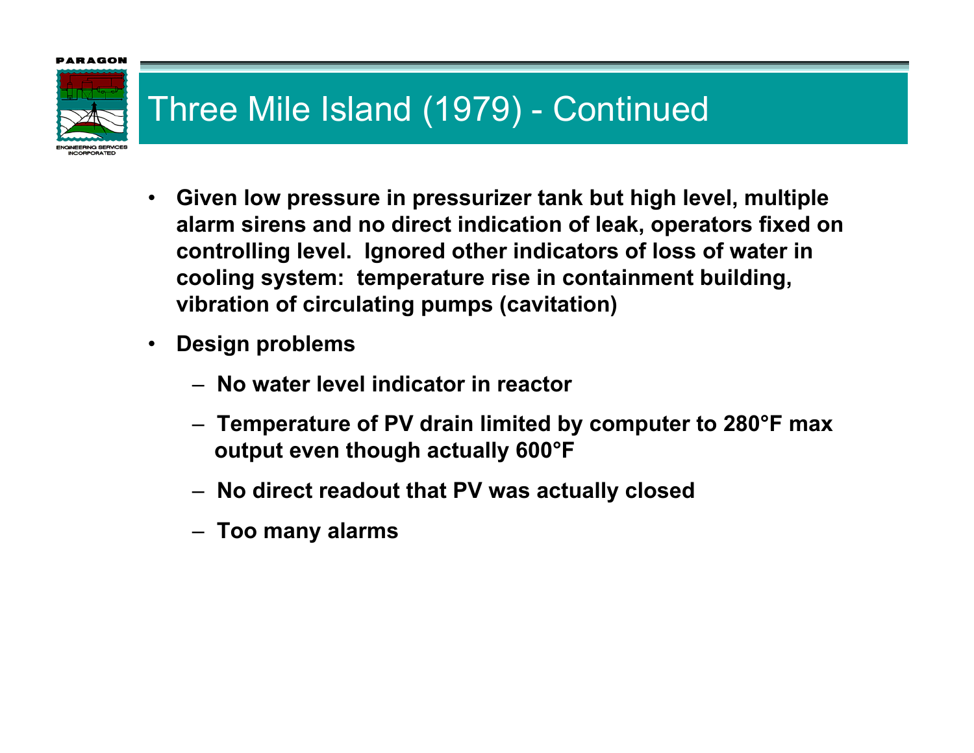

# Three Mile Island (1979) - Continued

- **Given low pressure in pressurizer tank but high level, multiple alarm sirens and no direct indication of leak, operators fixed on controlling level. Ignored other indicators of loss of water in cooling system: temperature rise in containment building, vibration of circulating pumps (cavitation)**
- $\bullet$  **Design problems**
	- **No water level indicator in reactor**
	- **Temperature of PV drain limited by computer to 280°F max output even though actually 600°F**
	- **No direct readout that PV was actually closed**
	- **Too many alarms**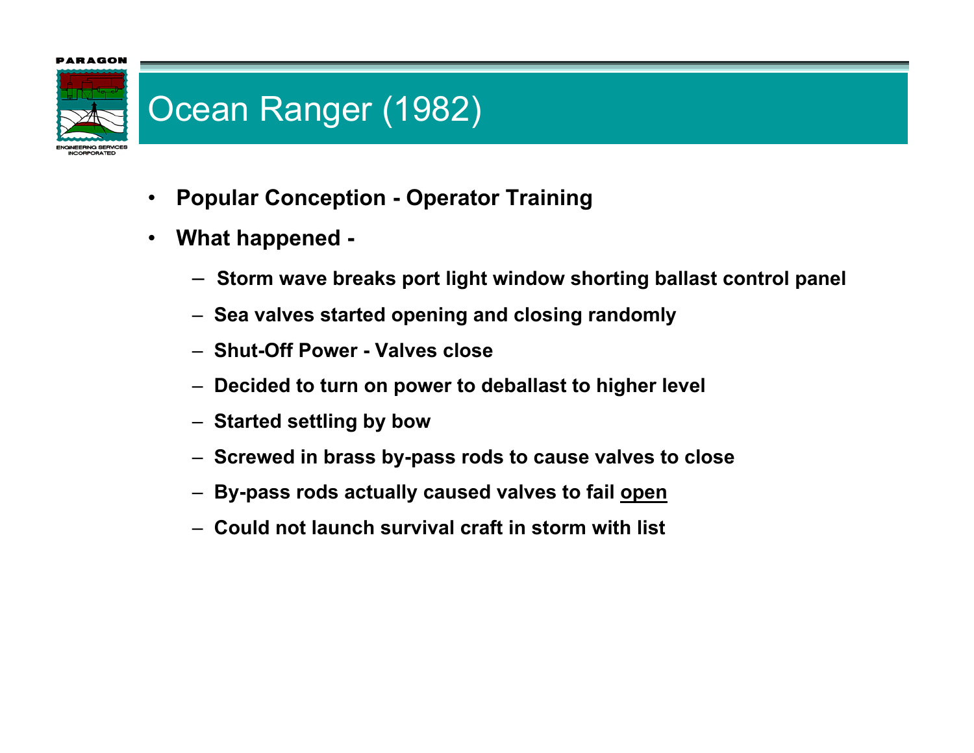### **IRAGOI**



### Ocean Ranger (1982)

- $\bullet$ **Popular Conception - Operator Training**
- $\bullet$  **What happened -**
	- **Storm wave breaks port light window shorting ballast control panel**
	- **Sea valves started opening and closing randomly**
	- **Shut-Off Power - Valves close**
	- **Decided to turn on power to deballast to higher level**
	- **Started settling by bow**
	- **Screwed in brass by-pass rods to cause valves to close**
	- **By-pass rods actually caused valves to fail open**
	- **Could not launch survival craft in storm wit h list**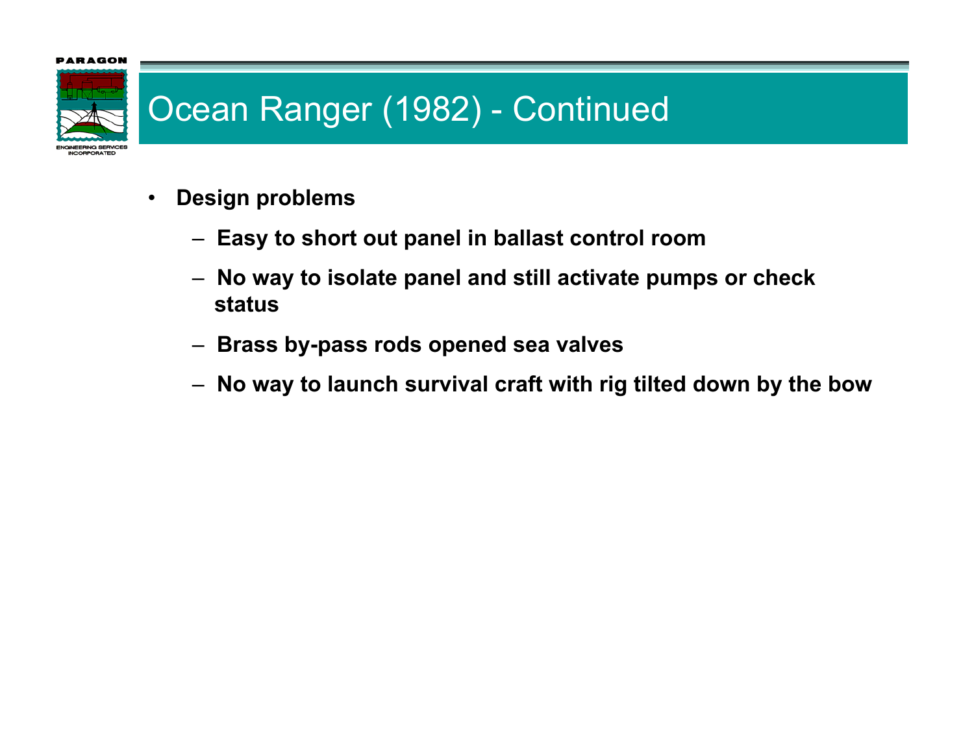

### Ocean Ranger (1982) - Continued

- $\bullet$  **Design problems**
	- **Easy to short out panel in ballast control room**
	- **No way to isolate panel and still activate pumps or check status**
	- **Brass by-pass rods opened sea valves**
	- **No way to launch survival craft with rig tilted down by the bow**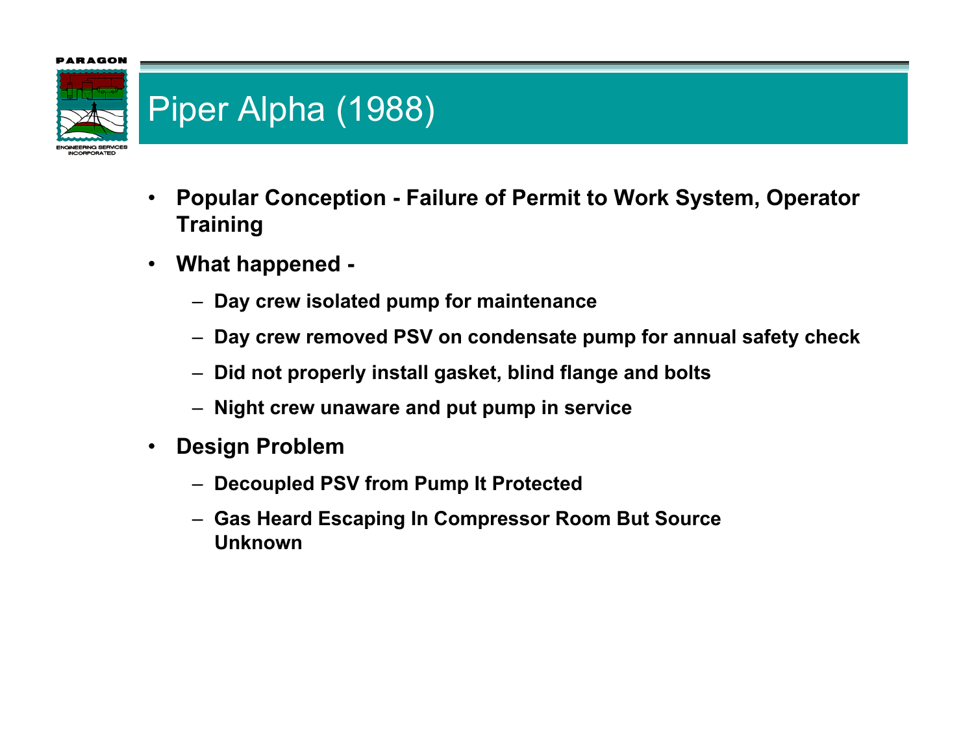

# Piper Alpha (1988)

- • **Popular Conception - Failure of Permit to Work System, Operator Training**
- $\bullet$  **What happened -**
	- **Day crew isolated pump for maintenance**
	- $-$  Day crew removed PSV on condensate pump for annual safety check
	- **Did not properly install gasket, blind flange and bolt s**
	- **Night crew unaware and put pump in service**
- $\bullet$  **Design Problem**
	- **Decoupled PSV from Pump It Protected**
	- **Gas Heard Escaping In Compressor Room But Source Unknown**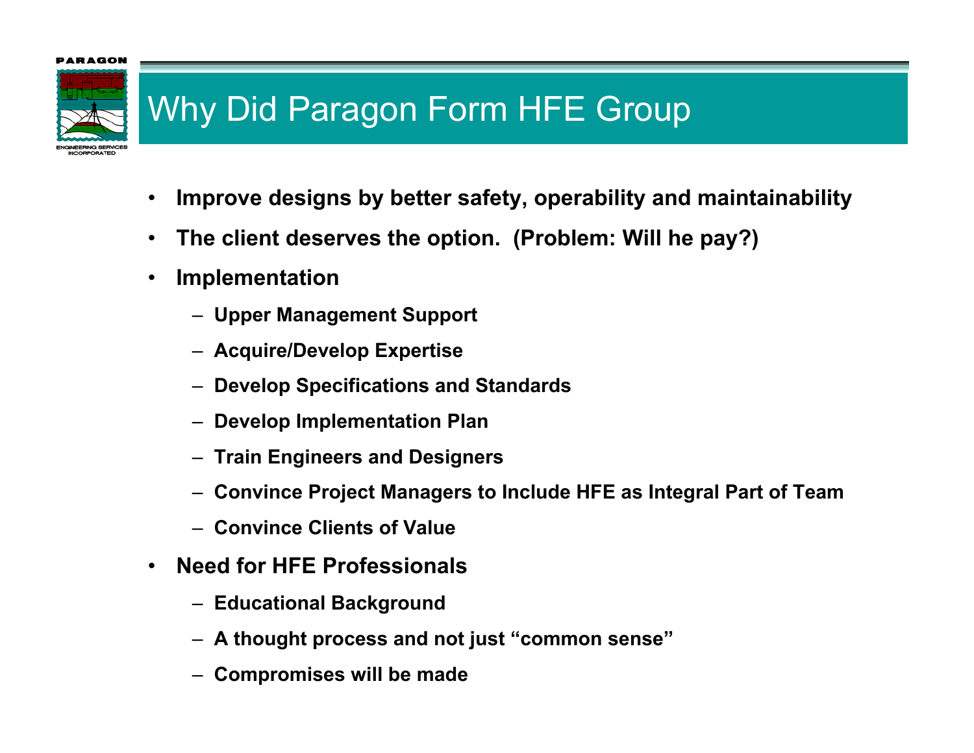

# Why Did Paragon Form HFE Group

- •**Improve designs by better safety, operability and maintainability**
- •**The client deserves the option. (Problem: Will he pay?)**
- • **Implementation**
	- **Upper Management Support**
	- **Acquire/Develop Expertise**
	- **Develop Specifications and Standards**
	- **Develop Implementation Plan**
	- **Train Engineers and Designers**
	- **Convince Project Managers to Include HFE as Integral Part of Team**
	- **Convince Clients of Value**
- • **Need for HFE Professionals**
	- **Educational Background**
	- **A thought process and not just "common sense"**
	- **Compr omises will be made**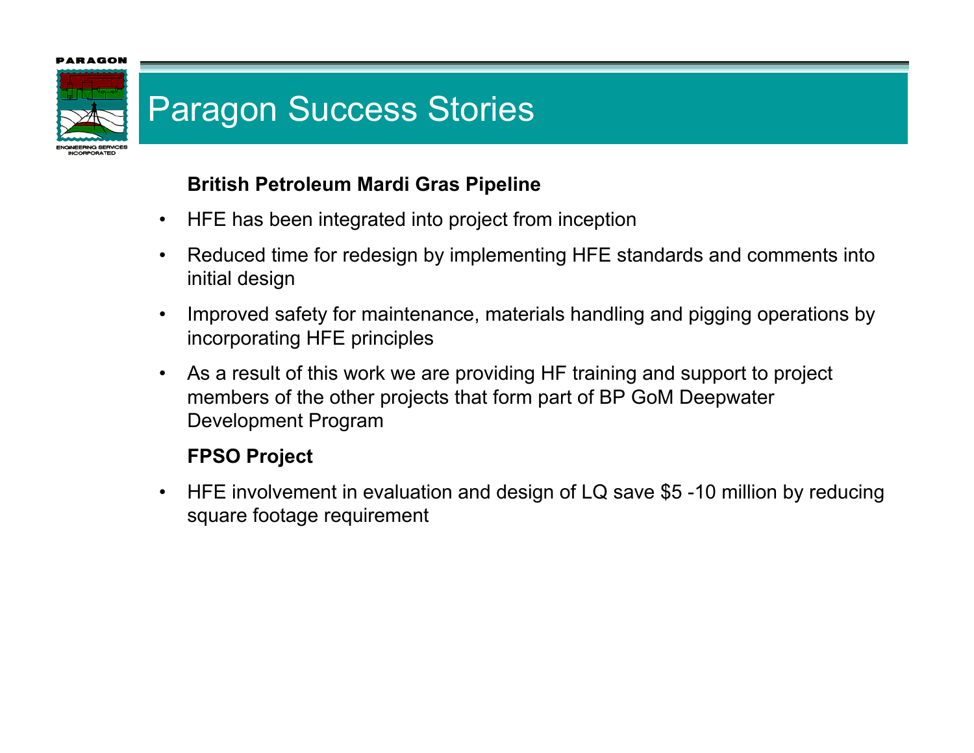

### Paragon Success Stories

### **British Petroleum Mardi Gras Pipeline**

- •HFE has been integrated into project from inception
- • Reduced time for redesign by implementing HFE standards and comments into initial design
- • Improved safety for maintenance, materials handling and pigging operations by incorporating HFE principles
- • As a result of this work we are providing HF training and support to project members of the other projects that for m part of BP GoM Deepwater Development Program

### **FPSO Project**

• HFE involvement in evaluation and design of LQ save \$5 -10 million by reducing square footage requirement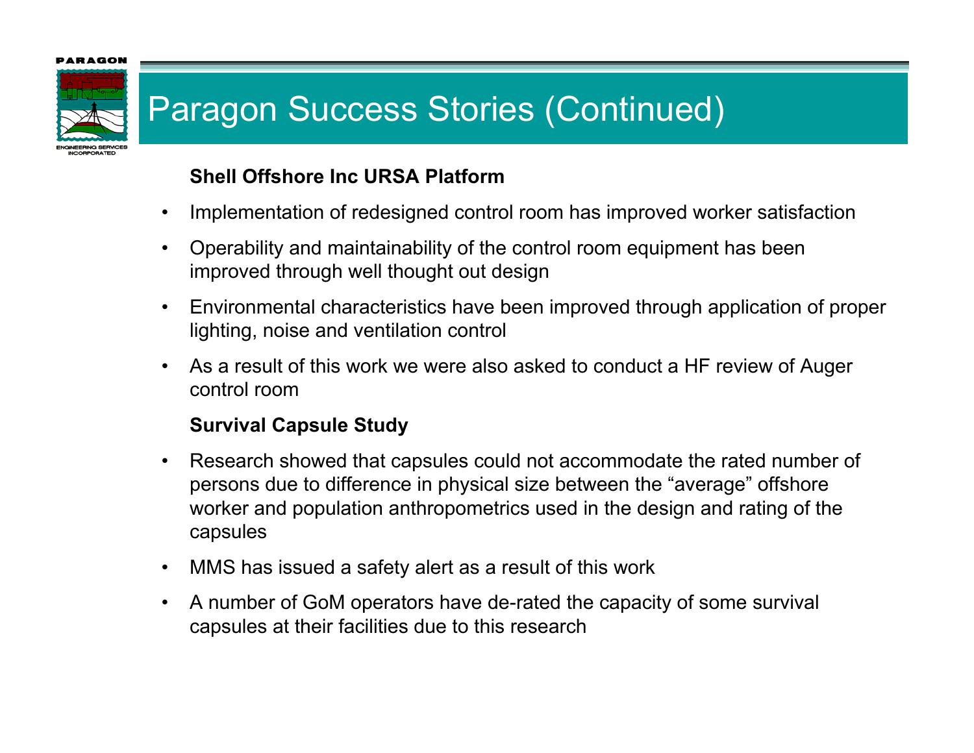### RAGOI



# Paragon Success Stories (Continued)

### **Shell Offshore Inc URSA Platform**

- •Implementation of redesigned control room has improved worker satisfaction
- • Operability and maintainability of the control room equipment has been improved through well thought out design
- • Environmental characteristics have been improved through application of proper lighting, noise and ventilation control
- • As a result of this work we were also asked to conduct a HF review of Auger control room

### **Survival Capsule Study**

- • Research showed that capsules could not accommodate the rated number of persons due to difference in physical size between the "av erage" offshore worker and population anthropometrics used in the design and rating of the capsules
- •MMS has issued a safety alert as a result of this work
- • A number of GoM operators have de-rated the capacity of some survival capsules at their facilities due to this research